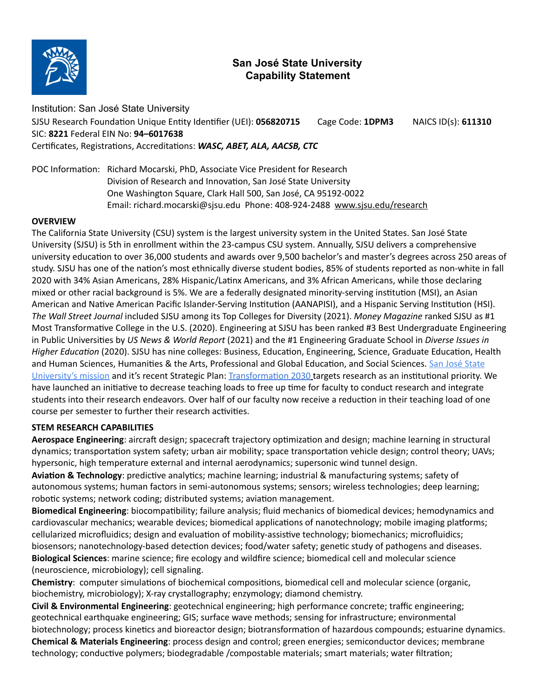

# **San José State University Capability Statement**

Institution: San José State University SJSU Research Foundation Unique Entity Identifier (UEI): **056820715** Cage Code: **1DPM3** NAICS ID(s): 611310 SIC: **8221** Federal EIN No: **94–6017638** Certificates, Registrations, Accreditations: WASC, ABET, ALA, AACSB, CTC

POC Information: Richard Mocarski, PhD, Associate Vice President for Research Division of Research and Innovation, San José State University One Washington Square, Clark Hall 500, San José, CA 95192-0022 Email: richard.mocarski@sjsu.edu Phone: 408-924-2488 [www.sjsu.edu/research](http://www.sjsu.edu/research)

### **OVERVIEW**

The California State University (CSU) system is the largest university system in the United States. San José State University (SJSU) is 5th in enrollment within the 23-campus CSU system. Annually, SJSU delivers a comprehensive university education to over 36,000 students and awards over 9,500 bachelor's and master's degrees across 250 areas of study. SJSU has one of the nation's most ethnically diverse student bodies, 85% of students reported as non-white in fall 2020 with 34% Asian Americans, 28% Hispanic/Latinx Americans, and 3% African Americans, while those declaring mixed or other racial background is 5%. We are a federally designated minority-serving institution (MSI), an Asian American and Native American Pacific Islander-Serving Institution (AANAPISI), and a Hispanic Serving Institution (HSI). *The Wall Street Journal* included SJSU among its Top Colleges for Diversity (2021). *Money Magazine* ranked SJSU as #1 Most Transformative College in the U.S. (2020). Engineering at SJSU has been ranked #3 Best Undergraduate Engineering in Public Universities by US News & World Report (2021) and the #1 Engineering Graduate School in *Diverse Issues in Higher Education* (2020). SJSU has nine colleges: Business, Education, Engineering, Science, Graduate Education, Health and Human Sciences, Humanities & the Arts, Professional and Global Education, and Social Sciences. San José [State](https://www.sjsu.edu/about/) [University's](https://www.sjsu.edu/about/) mission and it's recent Strategic Plan: Transformation 2030 targets research as an institutional priority. We have launched an initiative to decrease teaching loads to free up time for faculty to conduct research and integrate students into their research endeavors. Over half of our faculty now receive a reduction in their teaching load of one course per semester to further their research activities.

### **STEM RESEARCH CAPABILITIES**

**Aerospace Engineering**: aircraft design; spacecraft trajectory optimization and design; machine learning in structural dynamics; transportation system safety; urban air mobility; space transportation vehicle design; control theory; UAVs; hypersonic, high temperature external and internal aerodynamics; supersonic wind tunnel design.

Aviation & Technology: predictive analytics; machine learning; industrial & manufacturing systems; safety of autonomous systems; human factors in semi-autonomous systems; sensors; wireless technologies; deep learning; robotic systems; network coding; distributed systems; aviation management.

**Biomedical Engineering**: biocompatibility; failure analysis; fluid mechanics of biomedical devices; hemodynamics and cardiovascular mechanics; wearable devices; biomedical applications of nanotechnology; mobile imaging platforms; cellularized microfluidics; design and evaluation of mobility-assistive technology; biomechanics; microfluidics; biosensors; nanotechnology-based detection devices; food/water safety; genetic study of pathogens and diseases. **Biological Sciences**: marine science; fire ecology and wildfire science; biomedical cell and molecular science (neuroscience, microbiology); cell signaling.

**Chemistry:** computer simulations of biochemical compositions, biomedical cell and molecular science (organic, biochemistry, microbiology); X-ray crystallography; enzymology; diamond chemistry.

**Civil & Environmental Engineering**: geotechnical engineering; high performance concrete; traffic engineering; geotechnical earthquake engineering; GIS; surface wave methods; sensing for infrastructure; environmental biotechnology; process kinetics and bioreactor design; biotransformation of hazardous compounds; estuarine dynamics. **Chemical & Materials Engineering**: process design and control; green energies; semiconductor devices; membrane technology; conductive polymers; biodegradable /compostable materials; smart materials; water filtration;